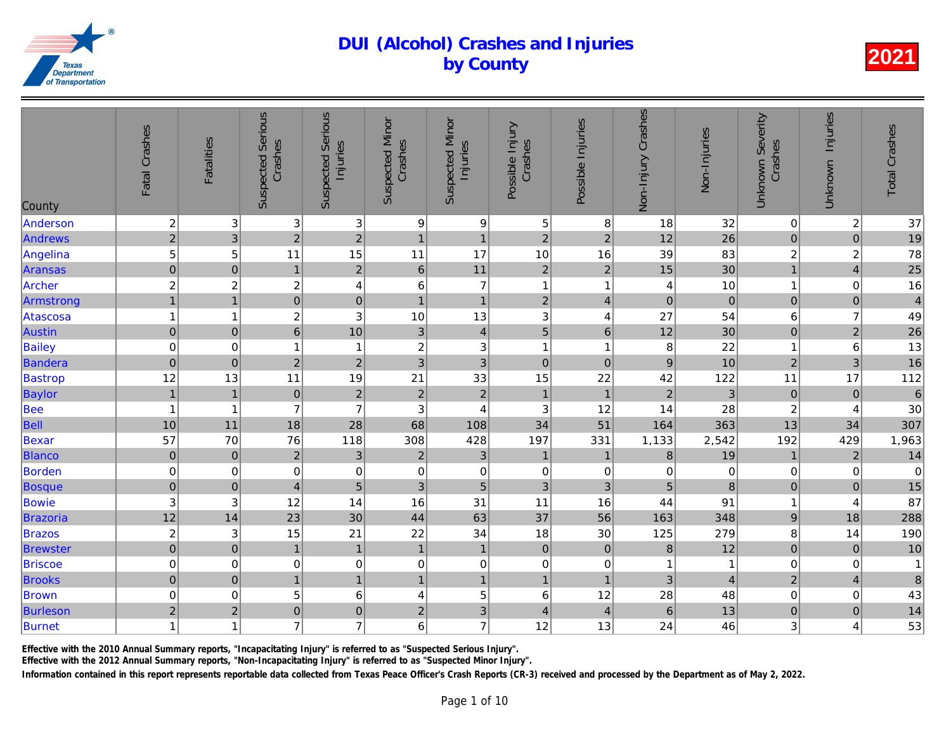| County          | Fatal Crashes    | <b>Fatalities</b>       | <b>Suspected Serious</b><br>Crashes | <b>Suspected Serious</b><br>Injuries | <b>Suspected Minor</b><br>Crashes | <b>Suspected Minor</b><br>Injuries | Possible Injury<br>Crashes | Possible Injuries | Non-Injury Crashes | Non-Injuries    |
|-----------------|------------------|-------------------------|-------------------------------------|--------------------------------------|-----------------------------------|------------------------------------|----------------------------|-------------------|--------------------|-----------------|
| Anderson        | $\boldsymbol{2}$ | 3                       | $\ensuremath{\mathsf{3}}$           | 3 <sup>1</sup>                       | 9                                 | $\boldsymbol{9}$                   | 5                          | 8                 | 18                 | 32              |
| <b>Andrews</b>  | $\overline{2}$   | 3                       | $\overline{2}$                      | $\overline{2}$                       | $\mathbf{1}$                      | $\mathbf{1}$                       | $\overline{c}$             | $\overline{2}$    | 12                 | $\overline{26}$ |
| Angelina        | 5                | 5                       | 11                                  | 15                                   | 11                                | 17                                 | 10                         | 16                | 39                 | 83              |
| <b>Aransas</b>  | $\overline{0}$   | $\overline{0}$          | $\mathbf{1}$                        | $\overline{2}$                       | $6\phantom{a}$                    | 11                                 | $\overline{2}$             | $\overline{2}$    | 15                 | 30              |
| Archer          | $\overline{c}$   | $\overline{c}$          | $\boldsymbol{2}$                    | $\overline{4}$                       | 6                                 | $\overline{7}$                     | $\mathbf{1}$               | $\overline{1}$    | 4                  | 10              |
| Armstrong       | $\overline{1}$   | $\overline{1}$          | $\overline{0}$                      | $\pmb{0}$                            | $\overline{1}$                    | $\mathbf{1}$                       | $\overline{2}$             | $\overline{4}$    | $\mathbf 0$        | $\overline{0}$  |
| Atascosa        | $\mathbf{1}$     | 1                       | $\overline{c}$                      | 3                                    | 10                                | 13                                 | 3                          | 4                 | 27                 | 54              |
| <b>Austin</b>   | $\boldsymbol{0}$ | $\pmb{0}$               | $\boldsymbol{6}$                    | 10                                   | $\mathfrak{S}$                    | $\overline{4}$                     | $\overline{5}$             | $\,6$             | 12                 | 30              |
| <b>Bailey</b>   | $\mathbf 0$      | 0                       | $\mathbf{1}$                        | $\mathbf{1}$                         | $\boldsymbol{2}$                  | 3                                  | $\mathbf{1}$               | $\overline{1}$    | 8                  | 22              |
| Bandera         | $\pmb{0}$        | $\pmb{0}$               | $\overline{2}$                      | $\overline{c}$                       | 3                                 | 3                                  | $\mathbf 0$                | $\pmb{0}$         | 9                  | 10              |
| <b>Bastrop</b>  | 12               | 13                      | 11                                  | 19                                   | 21                                | 33                                 | 15                         | 22                | 42                 | 122             |
| Baylor          | $\overline{1}$   | $\overline{1}$          | $\mathbf 0$                         | $\overline{c}$                       | $\mathbf 2$                       | $\mathbf 2$                        | $\mathbf{1}$               | $\overline{1}$    | $\overline{c}$     | 3               |
| <b>Bee</b>      | $\mathbf{1}$     | $\overline{\mathbf{1}}$ | $\overline{7}$                      | $\overline{7}$                       | 3                                 | 4                                  | $\sqrt{3}$                 | 12                | 14                 | 28              |
| Bell            | 10               | 11                      | 18                                  | 28                                   | 68                                | 108                                | 34                         | 51                | 164                | 363             |
| Bexar           | 57               | 70                      | 76                                  | 118                                  | 308                               | 428                                | 197                        | 331               | 1,133              | 2,542           |
| <b>Blanco</b>   | $\overline{0}$   | $\mathbf 0$             | $\overline{2}$                      | 3                                    | $\overline{2}$                    | 3                                  | $\mathbf{1}$               | $\mathbf{1}$      | 8                  | 19              |
| Borden          | $\mathbf 0$      | 0                       | $\mathbf 0$                         | $\mathbf 0$                          | $\mathbf 0$                       | $\mathbf 0$                        | $\pmb{0}$                  | 0                 | $\overline{0}$     | $\overline{0}$  |
| <b>Bosque</b>   | $\mathbf 0$      | $\mathbf 0$             | $\overline{4}$                      | $\overline{5}$                       | 3                                 | $\overline{5}$                     | 3                          | 3                 | 5                  | $\bf{8}$        |
| Bowie           | 3                | 3                       | 12                                  | 14                                   | 16                                | 31                                 | 11                         | 16                | 44                 | 91              |
| <b>Brazoria</b> | 12               | 14                      | 23                                  | 30                                   | 44                                | 63                                 | 37                         | 56                | 163                | 348             |
| <b>Brazos</b>   | $\overline{c}$   | 3                       | 15                                  | 21                                   | 22                                | 34                                 | 18                         | 30                | 125                | 279             |
| <b>Brewster</b> | $\overline{0}$   | $\pmb{0}$               | $\mathbf{1}$                        | $\mathbf{1}$                         | $\mathbf{1}$                      | $\mathbf{1}$                       | $\mathbf 0$                | $\pmb{0}$         | $\,8\,$            | 12              |
| <b>Briscoe</b>  | $\mathbf 0$      | $\,0\,$                 | $\pmb{0}$                           | 0                                    | $\,0\,$                           | $\pmb{0}$                          | $\pmb{0}$                  | $\pmb{0}$         | 1                  | $\mathbf{1}$    |
| <b>Brooks</b>   | $\overline{0}$   | $\pmb{0}$               | $\overline{1}$                      | $\overline{1}$                       | $\overline{1}$                    | $\mathbf{1}$                       | $\mathbf{1}$               | $\overline{1}$    | 3                  | $\overline{4}$  |
| <b>Brown</b>    | $\pmb{0}$        | $\mathbf 0$             | 5                                   | $\,6$                                | 4                                 | $\sqrt{5}$                         | $\,6$                      | 12                | 28                 | 48              |
| <b>Burleson</b> | $\overline{c}$   | $\overline{c}$          | $\mathbf 0$                         | $\pmb{0}$                            | $\overline{\mathbf{c}}$           | $\ensuremath{\mathsf{3}}$          | $\overline{4}$             | 4                 | 6                  | 13              |
| Burnet          | $\mathbf{1}$     | 1                       | $\overline{7}$                      | $\overline{7}$                       | 6                                 | $\overline{7}$                     | 12                         | 13                | 24                 | 46              |
|                 |                  |                         |                                     |                                      |                                   |                                    |                            |                   |                    |                 |

Effective with the 2010 Annual Summary reports, "Incapacitating Injury" is referred to as "Suspected Serious Injury".

Effective with the 2012 Annual Summary reports, "Non-Incapacitating Injury" is referred to as "Suspected Minor Injury".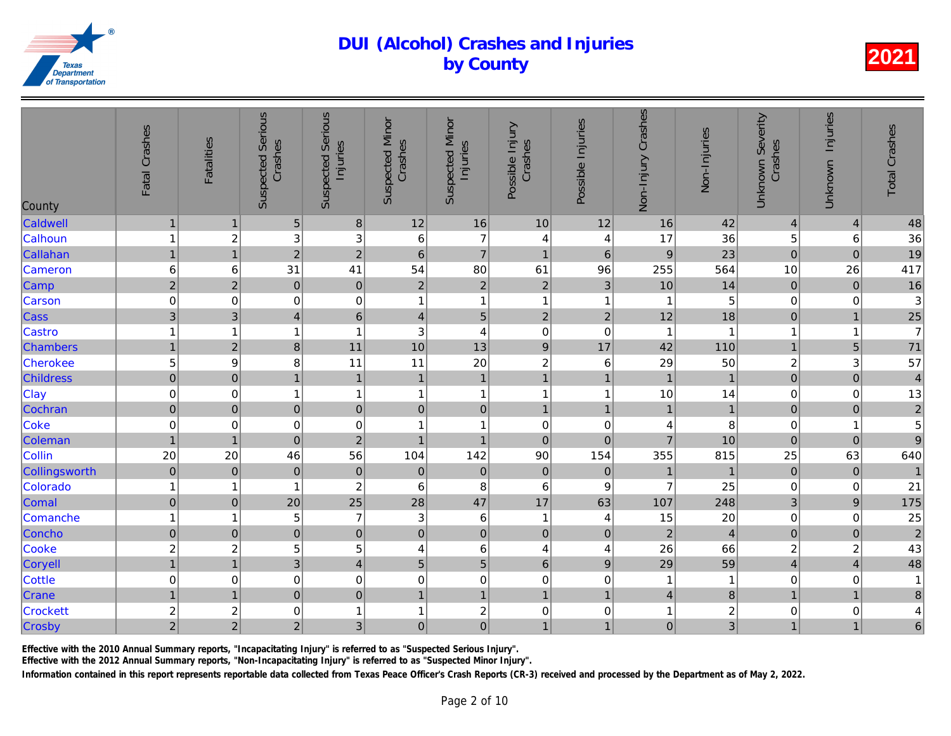| County           | Fatal Crashes           | <b>Fatalities</b>       | <b>Suspected Serious</b><br>Crashes | <b>Suspected Serious</b><br>Injuries | <b>Suspected Minor</b><br>Crashes | <b>Suspected Minor</b><br>Injuries | Possible Injury<br>Crashes | Possible Injuries       | Non-Injury Crashes | Non-Injuries   |
|------------------|-------------------------|-------------------------|-------------------------------------|--------------------------------------|-----------------------------------|------------------------------------|----------------------------|-------------------------|--------------------|----------------|
| Caldwell         | $\mathbf{1}$            | $\mathbf 1$             | $\sqrt{5}$                          | $\bf 8$                              | 12                                | 16                                 | 10                         | 12                      | 16                 | 42             |
| Calhoun          | $\mathbf{1}$            | $\overline{\mathbf{c}}$ | 3                                   | 3                                    | 6                                 | $\overline{7}$                     | $\overline{4}$             | 4                       | 17                 | 36             |
| Callahan         | $\mathbf{1}$            | $\mathbf{1}$            | $\overline{2}$                      | $\overline{c}$                       | $\,6\,$                           | $\overline{7}$                     | $\mathbf{1}$               | 6                       | $\boldsymbol{9}$   | 23             |
| Cameron          | $\,6$                   | 6                       | 31                                  | 41                                   | 54                                | 80                                 | 61                         | 96                      | 255                | 564            |
| Camp             | $\overline{2}$          | $\overline{2}$          | $\pmb{0}$                           | $\mathbf 0$                          | $\mathbf 2$                       | $\sqrt{2}$                         | $\overline{2}$             | 3                       | 10                 | 14             |
| Carson           | $\mathbf 0$             | $\mathbf 0$             | 0                                   | $\pmb{0}$                            | $\overline{\mathbf{1}}$           | $\mathbf{1}$                       | $\mathbf{1}$               | -1                      | 1                  | 5              |
| Cass             | $\sqrt{3}$              | 3                       | $\overline{4}$                      | $\,6\,$                              | $\overline{4}$                    | $\overline{5}$                     | $\sqrt{2}$                 | $\mathbf 2$             | 12                 | 18             |
| Castro           | $\mathbf{1}$            | 1                       | 1                                   | $\mathbf{1}$                         | 3                                 | 4                                  | $\pmb{0}$                  | $\mathbf 0$             | $\overline{1}$     | $\mathbf{1}$   |
| <b>Chambers</b>  | $\mathbf{1}$            | $\overline{2}$          | 8                                   | 11                                   | 10                                | 13                                 | $\boldsymbol{9}$           | 17                      | 42                 | 110            |
| Cherokee         | 5                       | $\boldsymbol{9}$        | 8                                   | 11                                   | 11                                | 20                                 | $\boldsymbol{2}$           | $\,6\,$                 | 29                 | 50             |
| <b>Childress</b> | $\overline{0}$          | $\mathbf 0$             | 1                                   | $\mathbf{1}$                         | $\mathbf{1}$                      | $\overline{1}$                     | $\mathbf{1}$               | $\mathbf{1}$            | $\mathbf{1}$       | $\overline{1}$ |
| <b>Clay</b>      | $\mathbf 0$             | 0                       | 1                                   | $\mathbf{1}$                         | $\overline{1}$                    | $\mathbf{1}$                       | $\mathbf{1}$               | $\overline{\mathbf{1}}$ | 10                 | 14             |
| Cochran          | $\pmb{0}$               | $\mathbf 0$             | $\pmb{0}$                           | $\pmb{0}$                            | $\mathbf 0$                       | $\pmb{0}$                          | $\mathbf{1}$               | $\mathbf{1}$            | $\mathbf{1}$       | $\overline{1}$ |
| Coke             | $\pmb{0}$               | $\mathbf 0$             | $\mathbf 0$                         | $\mathbf 0$                          | $\overline{1}$                    | $\mathbf{1}$                       | $\pmb{0}$                  | 0                       | 4                  | 8              |
| Coleman          | $\mathbf{1}$            | $\overline{1}$          | $\overline{0}$                      | $\overline{2}$                       | $\overline{1}$                    | $\mathbf{1}$                       | $\mathbf 0$                | $\mathbf 0$             | $\overline{7}$     | 10             |
| Collin           | 20                      | 20                      | 46                                  | 56                                   | 104                               | 142                                | 90                         | 154                     | 355                | 815            |
| Collingsworth    | $\overline{0}$          | $\pmb{0}$               | $\pmb{0}$                           | $\mathbf 0$                          | $\pmb{0}$                         | $\mathbf 0$                        | $\mathbf 0$                | $\mathbf 0$             | $\mathbf{1}$       | $\overline{1}$ |
| Colorado         | $\mathbf{1}$            | 1                       | 1                                   | $\overline{c}$                       | 6                                 | 8                                  | $\,6$                      | 9                       | $\overline{7}$     | 25             |
| Comal            | $\pmb{0}$               | $\pmb{0}$               | 20                                  | 25                                   | 28                                | 47                                 | 17                         | 63                      | 107                | 248            |
| Comanche         | $\mathbf{1}$            | 1                       | 5                                   | $\overline{7}$                       | $\ensuremath{\mathsf{3}}$         | $\,6$                              | $\mathbf{1}$               | 4                       | 15                 | 20             |
| Concho           | $\mathbf 0$             | $\pmb{0}$               | $\mathbf 0$                         | $\mathbf 0$                          | $\mathsf 0$                       | $\mathbf 0$                        | $\pmb{0}$                  | $\pmb{0}$               | $\overline{c}$     | $\overline{4}$ |
| Cooke            | $\overline{\mathbf{c}}$ | $\boldsymbol{2}$        | 5                                   | 5                                    | 4                                 | 6                                  | 4                          | 4                       | 26                 | 66             |
| Coryell          | $\overline{1}$          | $\overline{1}$          | $\overline{3}$                      | $\overline{\mathbf{4}}$              | 5                                 | $\overline{5}$                     | $\,$ 6 $\,$                | $\mathsf g$             | 29                 | 59             |
| <b>Cottle</b>    | $\mathbf 0$             | 0                       | $\mathbf 0$                         | $\mathsf 0$                          | $\mathbf 0$                       | $\mathbf 0$                        | $\mathbf 0$                | $\pmb{0}$               | 1                  | $\mathbf{1}$   |
| Crane            | $\mathbf{1}$            | $\overline{1}$          | $\overline{0}$                      | $\mathbf 0$                          | $\mathbf{1}$                      | $\mathbf{1}$                       | $\mathbf{1}$               | $\overline{1}$          | $\overline{4}$     | $\bf{8}$       |
| <b>Crockett</b>  | $\overline{\mathbf{c}}$ | $\boldsymbol{2}$        | $\mathbf 0$                         | $\mathbf{1}$                         | 1                                 | $\boldsymbol{2}$                   | $\pmb{0}$                  | $\,0\,$                 | 1                  | $\overline{a}$ |
| Crosby           | $\overline{2}$          | $\overline{c}$          | $\mathbf 2$                         | 3 <sup>1</sup>                       | $\mathbf 0$                       | $\overline{0}$                     | $\mathbf{1}$               | $\blacksquare$          | $\mathbf 0$        | $\overline{3}$ |

Effective with the 2010 Annual Summary reports, "Incapacitating Injury" is referred to as "Suspected Serious Injury".

Effective with the 2012 Annual Summary reports, "Non-Incapacitating Injury" is referred to as "Suspected Minor Injury".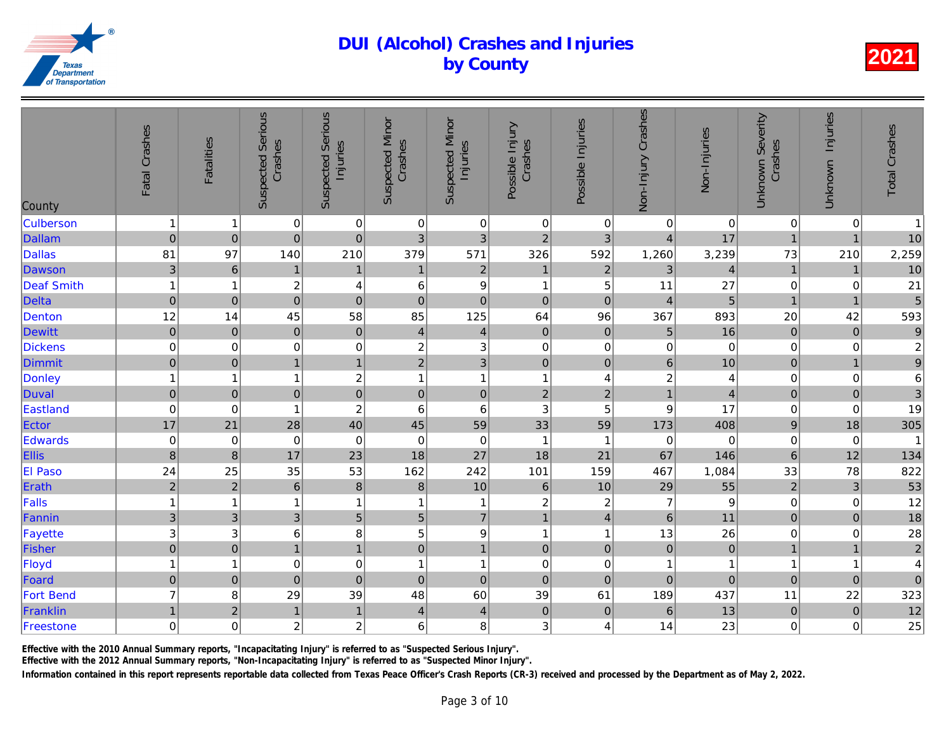| County            | Fatal Crashes             | <b>Fatalities</b> | <b>Suspected Serious</b><br>Crashes | <b>Suspected Serious</b><br>Injuries | <b>Suspected Minor</b><br>Crashes | <b>Suspected Minor</b><br>Injuries | Possible Injury<br>Crashes | Possible Injuries       | Non-Injury Crashes | Non-Injuries   |
|-------------------|---------------------------|-------------------|-------------------------------------|--------------------------------------|-----------------------------------|------------------------------------|----------------------------|-------------------------|--------------------|----------------|
| <b>Culberson</b>  | $\mathbf{1}$              | -1                | $\pmb{0}$                           | $\pmb{0}$                            | $\mathbf 0$                       | $\pmb{0}$                          | $\pmb{0}$                  | $\mathbf 0$             | $\pmb{0}$          | $\overline{0}$ |
| <b>Dallam</b>     | $\overline{0}$            | $\mathbf 0$       | $\overline{0}$                      | $\mathbf 0$                          | 3                                 | 3                                  | $\overline{2}$             | 3                       | $\overline{4}$     | 17             |
| <b>Dallas</b>     | 81                        | 97                | 140                                 | 210                                  | 379                               | 571                                | 326                        | 592                     | 1,260              | 3,239          |
| Dawson            | $\mathbf{3}$              | $\,6$             | $\mathbf{1}$                        | $\mathbf{1}$                         | $\mathbf{1}$                      | $\sqrt{2}$                         | $\mathbf{1}$               | $\sqrt{2}$              | 3                  | $\overline{4}$ |
| <b>Deaf Smith</b> | $\mathbf{1}$              | 1                 | $\boldsymbol{2}$                    | 4                                    | 6                                 | $\boldsymbol{9}$                   | $\mathbf{1}$               | 5                       | 11                 | 27             |
| <b>Delta</b>      | $\mathbf 0$               | $\overline{0}$    | $\mathbf 0$                         | $\mathbf 0$                          | $\mathbf 0$                       | $\mathbf 0$                        | $\mathbf 0$                | $\mathbf 0$             | $\overline{4}$     | $\overline{5}$ |
| Denton            | 12                        | 14                | 45                                  | 58                                   | 85                                | 125                                | 64                         | 96                      | 367                | 893            |
| <b>Dewitt</b>     | $\overline{0}$            | $\pmb{0}$         | $\mathbf 0$                         | $\mathbf 0$                          | $\overline{\mathbf{4}}$           | $\overline{4}$                     | $\mathbf 0$                | $\pmb{0}$               | $\sqrt{5}$         | 16             |
| Dickens           | $\mathbf 0$               | 0                 | $\mathbf 0$                         | $\mathbf 0$                          | $\boldsymbol{2}$                  | $\ensuremath{\mathsf{3}}$          | $\pmb{0}$                  | 0                       | 0                  | $\overline{0}$ |
| Dimmit            | $\pmb{0}$                 | $\pmb{0}$         | $\overline{1}$                      | $\overline{1}$                       | $\overline{2}$                    | 3                                  | $\mathbf 0$                | $\mathbf 0$             | $\,$ 6 $\,$        | 10             |
| Donley            | $\mathbf{1}$              | 1                 | 1                                   | $\overline{c}$                       | 1                                 | $\mathbf{1}$                       | $\mathbf{1}$               | 4                       | $\overline{c}$     | $\overline{4}$ |
| <b>Duval</b>      | $\mathbf 0$               | $\boldsymbol{0}$  | $\pmb{0}$                           | $\overline{0}$                       | 0                                 | $\pmb{0}$                          | $\boldsymbol{2}$           | $\mathbf 2$             | $\mathbf{1}$       | $\overline{4}$ |
| Eastland          | $\pmb{0}$                 | 0                 | 1                                   | $\overline{\mathbf{c}}$              | $\,6$                             | $\,6$                              | $\sqrt{3}$                 | 5                       | 9                  | 17             |
| Ector             | 17                        | 21                | 28                                  | 40                                   | 45                                | 59                                 | 33                         | 59                      | 173                | 408            |
| Edwards           | $\pmb{0}$                 | $\mathbf 0$       | $\pmb{0}$                           | $\mathbf 0$                          | $\boldsymbol{0}$                  | $\mathbf 0$                        | $\mathbf{1}$               | $\overline{1}$          | $\mathbf 0$        | $\overline{0}$ |
| Ellis             | $\bf{8}$                  | $\bf 8$           | 17                                  | 23                                   | 18                                | 27                                 | 18                         | 21                      | 67                 | 146            |
| <b>El Paso</b>    | 24                        | 25                | 35                                  | 53                                   | 162                               | 242                                | 101                        | 159                     | 467                | 1,084          |
| Erath             | $\overline{2}$            | $\mathbf 2$       | $\,6$                               | $\delta$                             | $\bf8$                            | 10                                 | $\,$ 6 $\,$                | 10                      | 29                 | 55             |
| Falls             | $\mathbf{1}$              | $\mathbf 1$       | 1                                   | $\mathbf{1}$                         | $\overline{1}$                    | $\mathbf{1}$                       | $\overline{\mathbf{c}}$    | $\boldsymbol{2}$        | $\overline{7}$     | $\overline{9}$ |
| Fannin            | $\mathsf 3$               | $\mathbf{3}$      | $\mathbf{3}$                        | 5                                    | 5                                 | $\overline{7}$                     | $\mathbf{1}$               | $\overline{\mathbf{4}}$ | $6\phantom{a}$     | 11             |
| Fayette           | $\ensuremath{\mathsf{3}}$ | 3                 | 6                                   | 8                                    | 5                                 | $\boldsymbol{9}$                   | $\mathbf{1}$               | -1                      | 13                 | 26             |
| Fisher            | $\overline{0}$            | $\boldsymbol{0}$  | 1                                   | $\mathbf{1}$                         | $\mathbf 0$                       | $\mathbf{1}$                       | $\pmb{0}$                  | $\pmb{0}$               | $\pmb{0}$          | $\mathbf 0$    |
| Floyd             | $\mathbf{1}$              | 1                 | $\mathbf 0$                         | $\mathbf 0$                          | 1                                 | $\mathbf{1}$                       | $\pmb{0}$                  | $\,0\,$                 | 1                  | $\mathbf{1}$   |
| Foard             | $\pmb{0}$                 | $\pmb{0}$         | $\mathbf 0$                         | $\mathbf 0$                          | $\pmb{0}$                         | $\mathbf 0$                        | $\mathbf 0$                | $\mathbf 0$             | $\overline{0}$     | $\overline{0}$ |
| <b>Fort Bend</b>  | $\overline{7}$            | 8                 | 29                                  | 39                                   | 48                                | 60                                 | 39                         | 61                      | 189                | 437            |
| Franklin          | $\mathbf{1}$              | $\overline{c}$    | $\overline{1}$                      | $\mathbf{1}$                         | $\overline{4}$                    | $\overline{4}$                     | $\mathbf 0$                | $\boldsymbol{0}$        | $6\phantom{1}$     | 13             |
| Freestone         | $\boldsymbol{0}$          | $\mathsf 0$       | $\boldsymbol{2}$                    | $\overline{c}$                       | 6                                 | 8                                  | 3                          | 4                       | 14                 | 23             |
|                   |                           |                   |                                     |                                      |                                   |                                    |                            |                         |                    |                |

Effective with the 2010 Annual Summary reports, "Incapacitating Injury" is referred to as "Suspected Serious Injury".

Effective with the 2012 Annual Summary reports, "Non-Incapacitating Injury" is referred to as "Suspected Minor Injury".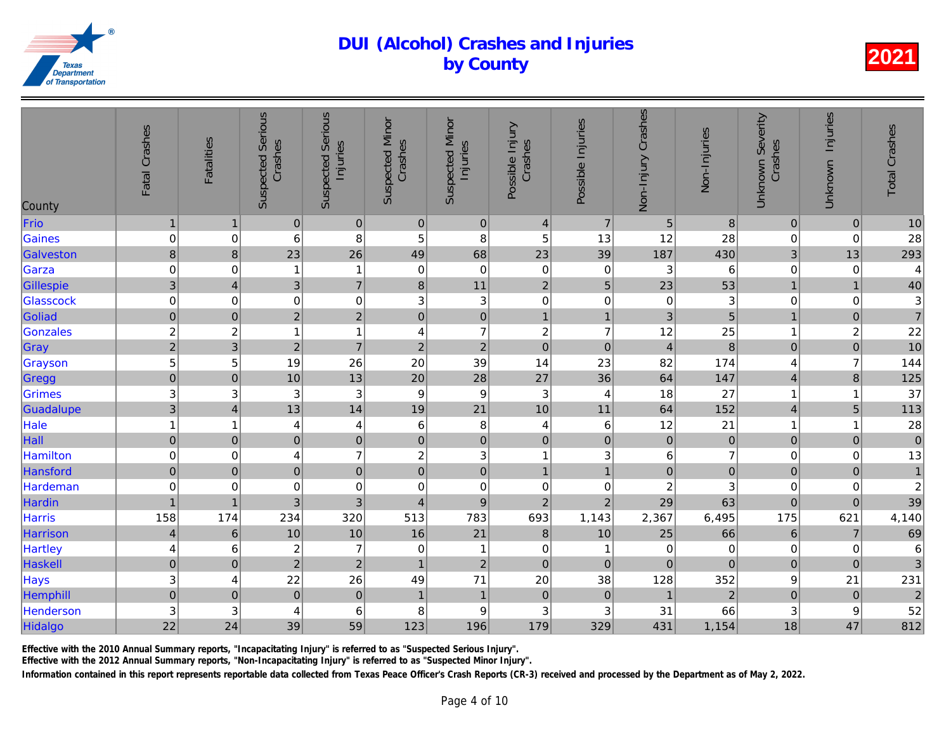| County         | Fatal Crashes             | <b>Fatalities</b> | <b>Suspected Serious</b><br>Crashes | <b>Suspected Serious</b><br>Injuries | <b>Suspected Minor</b><br>Crashes | <b>Suspected Minor</b><br>Injuries | Possible Injury<br>Crashes | Possible Injuries | Non-Injury Crashes      | Non-Injuries     |
|----------------|---------------------------|-------------------|-------------------------------------|--------------------------------------|-----------------------------------|------------------------------------|----------------------------|-------------------|-------------------------|------------------|
| Frio           | $\mathbf{1}$              | $\mathbf 1$       | $\mathbf 0$                         | $\boldsymbol{0}$                     | $\boldsymbol{0}$                  | $\pmb{0}$                          | $\overline{4}$             | $\overline{7}$    | 5                       | $\boldsymbol{8}$ |
| Gaines         | $\pmb{0}$                 | 0                 | 6                                   | 8                                    | 5                                 | 8                                  | 5                          | 13                | 12                      | 28               |
| Galveston      | $\,8\,$                   | $\bf8$            | 23                                  | 26                                   | 49                                | 68                                 | 23                         | 39                | 187                     | 430              |
| Garza          | $\mathbf 0$               | 0                 | 1                                   | 1                                    | 0                                 | $\pmb{0}$                          | $\pmb{0}$                  | 0                 | 3                       | $6\phantom{.}6$  |
| Gillespie      | $\mathbf{3}$              | $\overline{4}$    | $\mathbf{3}$                        | $\overline{7}$                       | $\bf8$                            | 11                                 | $\overline{2}$             | $\overline{5}$    | 23                      | 53               |
| Glasscock      | $\mathbf 0$               | $\mathbf 0$       | $\pmb{0}$                           | $\mathbf 0$                          | 3                                 | $\sqrt{3}$                         | $\mathbf 0$                | $\pmb{0}$         | $\mathbf 0$             | $\frac{3}{5}$    |
| Goliad         | $\mathbf 0$               | $\boldsymbol{0}$  | $\overline{2}$                      | $\overline{c}$                       | $\pmb{0}$                         | $\mathbf 0$                        | $\mathbf{1}$               | $\overline{1}$    | 3                       |                  |
| Gonzales       | $\overline{\mathbf{c}}$   | $\boldsymbol{2}$  | 1                                   | $\mathbf{1}$                         | 4                                 | $\overline{7}$                     | $\boldsymbol{2}$           | $\overline{7}$    | 12                      | 25               |
| Gray           | $\overline{2}$            | 3                 | $\overline{2}$                      | $\overline{7}$                       | $\overline{2}$                    | $\overline{2}$                     | $\overline{0}$             | $\pmb{0}$         | $\overline{4}$          | $\bf{8}$         |
| Grayson        | 5                         | 5                 | 19                                  | 26                                   | 20                                | 39                                 | 14                         | 23                | 82                      | 174              |
| Gregg          | $\mathbf 0$               | $\mathbf 0$       | 10                                  | 13                                   | 20                                | 28                                 | 27                         | 36                | 64                      | 147              |
| Grimes         | 3                         | 3                 | 3                                   | 3                                    | $\boldsymbol{9}$                  | $\boldsymbol{9}$                   | $\sqrt{3}$                 | $\overline{4}$    | 18                      | 27               |
| Guadalupe      | $\overline{3}$            | $\overline{4}$    | 13                                  | 14                                   | 19                                | 21                                 | 10                         | 11                | 64                      | 152              |
| Hale           | $\mathbf{1}$              | $\mathbf 1$       | 4                                   | 4                                    | 6                                 | 8                                  | 4                          | $\,6$             | 12                      | 21               |
| Hall           | $\overline{0}$            | $\pmb{0}$         | $\overline{0}$                      | $\pmb{0}$                            | $\overline{0}$                    | $\mathbf 0$                        | $\mathbf 0$                | $\mathbf 0$       | $\mathbf 0$             | $\overline{O}$   |
| Hamilton       | $\mathbf 0$               | 0                 | 4                                   | $\overline{7}$                       | $\boldsymbol{2}$                  | $\mathsf 3$                        | $\mathbf{1}$               | 3                 | 6                       | $\overline{7}$   |
| Hansford       | $\mathbf 0$               | $\mathbf 0$       | $\overline{0}$                      | $\pmb{0}$                            | $\mathbf 0$                       | $\mathbf 0$                        | $\mathbf{1}$               | $\overline{1}$    | $\overline{0}$          | $\overline{0}$   |
| Hardeman       | $\pmb{0}$                 | 0                 | $\,0\,$                             | $\mathbf 0$                          | 0                                 | $\pmb{0}$                          | $\pmb{0}$                  | 0                 | $\overline{\mathbf{c}}$ | $\mathbf{3}$     |
| Hardin         | $\mathbf{1}$              | $\overline{1}$    | 3                                   | $\overline{3}$                       | $\overline{4}$                    | $\boldsymbol{9}$                   | $\overline{2}$             | $\overline{2}$    | 29                      | 63               |
| Harris         | 158                       | 174               | 234                                 | 320                                  | 513                               | 783                                | 693                        | 1,143             | 2,367                   | 6,495            |
| Harrison       | $\overline{a}$            | $6\phantom{1}6$   | 10                                  | 10                                   | 16                                | 21                                 | $\bf{8}$                   | 10                | 25                      | 66               |
| <b>Hartley</b> | 4                         | 6                 | $\overline{c}$                      | $\overline{7}$                       | 0                                 | $\mathbf 1$                        | $\pmb{0}$                  | -1                | $\mathbf 0$             | $\overline{0}$   |
| Haskell        | $\mathbf 0$               | $\mathbf 0$       | $\overline{2}$                      | $\sqrt{2}$                           | $\mathbf{1}$                      | $\overline{2}$                     | $\mathbf 0$                | $\mathbf 0$       | $\pmb{0}$               | $\overline{O}$   |
| Hays           | $\ensuremath{\mathsf{3}}$ | 4                 | 22                                  | 26                                   | 49                                | 71                                 | 20                         | 38                | 128                     | 352              |
| Hemphill       | $\mathbf 0$               | $\mathbf 0$       | $\mathbf 0$                         | $\mathbf 0$                          | $\overline{1}$                    | $\mathbf{1}$                       | $\pmb{0}$                  | $\pmb{0}$         | $\overline{1}$          | $\overline{a}$   |
| Henderson      | 3                         | 3                 | 4                                   | $\,6$                                | 8                                 | $\boldsymbol{9}$                   | 3                          | 3                 | 31                      | 66               |
| Hidalgo        | 22                        | 24                | 39                                  | 59                                   | 123                               | 196                                | 179                        | 329               | 431                     | 1,154            |
|                |                           |                   |                                     |                                      |                                   |                                    |                            |                   |                         |                  |

Effective with the 2010 Annual Summary reports, "Incapacitating Injury" is referred to as "Suspected Serious Injury".

Effective with the 2012 Annual Summary reports, "Non-Incapacitating Injury" is referred to as "Suspected Minor Injury".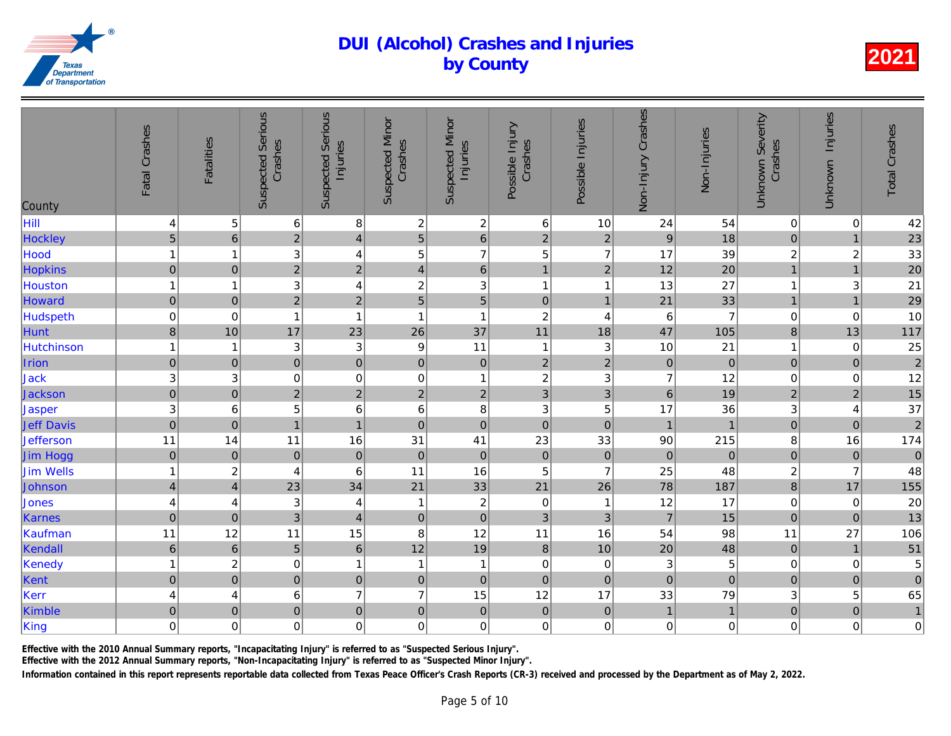| County            | Fatal Crashes             | <b>Fatalities</b> | <b>Suspected Serious</b><br>Crashes | <b>Suspected Serious</b><br>Injuries | <b>Suspected Minor</b><br>Crashes | <b>Suspected Minor</b><br>Injuries | Possible Injury<br>Crashes | Possible Injuries | Non-Injury Crashes | Non-Injuries    |
|-------------------|---------------------------|-------------------|-------------------------------------|--------------------------------------|-----------------------------------|------------------------------------|----------------------------|-------------------|--------------------|-----------------|
| Hill              | $\overline{\mathbf{r}}$   | 5                 | $\,6$                               | 8                                    | $\boldsymbol{2}$                  | $\boldsymbol{2}$                   | $\,6$                      | 10                | 24                 | 54              |
| Hockley           | $\overline{5}$            | $\,$ 6 $\,$       | $\overline{2}$                      | $\overline{\mathcal{L}}$             | 5                                 | $\overline{6}$                     | $\overline{c}$             | $\overline{c}$    | 9                  | 18              |
| Hood              | $\mathbf{1}$              | 1                 | 3                                   | $\overline{\mathbf{4}}$              | 5                                 | $\overline{7}$                     | 5                          | $\overline{7}$    | 17                 | 39              |
| Hopkins           | $\overline{0}$            | $\mathbf 0$       | $\overline{2}$                      | $\overline{2}$                       | $\overline{\mathcal{L}}$          | $6\overline{6}$                    | $\mathbf{1}$               | $\overline{2}$    | 12                 | 20 <sup>°</sup> |
| Houston           | $\mathbf{1}$              | 1                 | $\ensuremath{\mathsf{3}}$           | $\overline{\mathbf{4}}$              | $\overline{\mathbf{c}}$           | $\ensuremath{\mathsf{3}}$          | $\mathbf{1}$               | $\overline{1}$    | 13                 | 27              |
| Howard            | $\mathbf 0$               | $\mathbf 0$       | $\overline{2}$                      | $\mathbf 2$                          | 5                                 | 5                                  | $\mathbf 0$                | $\overline{1}$    | 21                 | 33              |
| Hudspeth          | $\pmb{0}$                 | 0                 | $\overline{1}$                      | $\mathbf{1}$                         | $\overline{1}$                    | $\mathbf{1}$                       | $\boldsymbol{2}$           | 4                 | 6                  | $\overline{7}$  |
| Hunt              | $\,8\,$                   | 10                | 17                                  | 23                                   | 26                                | 37                                 | 11                         | 18                | 47                 | 105             |
| Hutchinson        | $\mathbf{1}$              | 1                 | 3                                   | 3                                    | 9                                 | 11                                 | $\mathbf{1}$               | 3                 | 10                 | 21              |
| Irion             | $\pmb{0}$                 | $\pmb{0}$         | $\mathbf 0$                         | $\mathbf 0$                          | $\mathbf 0$                       | $\pmb{0}$                          | $\overline{c}$             | $\overline{2}$    | $\mathbf 0$        | $\overline{0}$  |
| Jack              | $\ensuremath{\mathsf{3}}$ | 3                 | $\boldsymbol{0}$                    | $\mathbf 0$                          | $\mathbf 0$                       | $\mathbf{1}$                       | $\boldsymbol{2}$           | 3                 | $\overline{7}$     | 12              |
| Jackson           | $\overline{0}$            | $\mathbf 0$       | $\overline{2}$                      | $\overline{2}$                       | $\overline{c}$                    | $\overline{2}$                     | $\overline{3}$             | 3                 | 6                  | 19              |
| Jasper            | 3                         | 6                 | 5                                   | $\,6$                                | 6                                 | 8                                  | 3                          | $\mathbf 5$       | 17                 | 36              |
| <b>Jeff Davis</b> | $\overline{0}$            | $\pmb{0}$         | $\overline{1}$                      | $\overline{1}$                       | $\mathbf 0$                       | $\mathbf 0$                        | $\mathbf 0$                | $\mathbf 0$       | $\overline{1}$     | $\overline{1}$  |
| Jefferson         | 11                        | 14                | 11                                  | 16                                   | 31                                | 41                                 | 23                         | 33                | 90                 | 215             |
| Jim Hogg          | $\pmb{0}$                 | $\mathbf 0$       | $\mathbf 0$                         | $\mathbf 0$                          | $\mathbf 0$                       | $\pmb{0}$                          | $\mathbf 0$                | $\pmb{0}$         | $\overline{0}$     | $\overline{0}$  |
| Jim Wells         | $\mathbf{1}$              | $\overline{c}$    | 4                                   | 6                                    | 11                                | 16                                 | $\sqrt{5}$                 | $\overline{7}$    | 25                 | 48              |
| Johnson           | $\overline{4}$            | $\overline{4}$    | 23                                  | 34                                   | 21                                | 33                                 | 21                         | 26                | 78                 | 187             |
| Jones             | $\overline{\mathbf{r}}$   | 4                 | 3                                   | 4                                    | -1                                | $\boldsymbol{2}$                   | $\pmb{0}$                  | -1                | 12                 | 17              |
| Karnes            | $\pmb{0}$                 | $\mathbf 0$       | $\overline{3}$                      | $\overline{4}$                       | $\pmb{0}$                         | $\pmb{0}$                          | 3                          | $\mathfrak{S}$    | $\overline{7}$     | 15              |
| Kaufman           | 11                        | 12                | 11                                  | 15                                   | 8                                 | 12                                 | 11                         | 16                | 54                 | 98              |
| Kendall           | $\boldsymbol{6}$          | $6\phantom{1}6$   | 5                                   | $\,6\,$                              | 12                                | 19                                 | $\bf 8$                    | 10                | 20                 | 48              |
| Kenedy            | $\mathbf{1}$              | $\boldsymbol{2}$  | $\mathbf 0$                         | $\mathbf{1}$                         | $\overline{1}$                    | $\mathbf{1}$                       | $\pmb{0}$                  | 0                 | 3                  | $\overline{5}$  |
| Kent              | $\pmb{0}$                 | $\pmb{0}$         | $\pmb{0}$                           | $\mathbf 0$                          | $\pmb{0}$                         | $\mathbf 0$                        | $\mathbf 0$                | $\pmb{0}$         | $\mathbf 0$        | $\overline{0}$  |
| Kerr              | $\overline{\mathbf{4}}$   | 4                 | $\,6$                               | $\overline{7}$                       | $\overline{7}$                    | 15                                 | 12                         | 17                | 33                 | 79              |
| Kimble            | $\mathbf 0$               | $\pmb{0}$         | $\overline{0}$                      | $\overline{0}$                       | $\mathbf 0$                       | $\mathbf 0$                        | $\mathbf 0$                | $\pmb{0}$         | $\mathbf{1}$       | $\overline{1}$  |
| King              | $\pmb{0}$                 | $\mathsf 0$       | $\mathbf 0$                         | $\mathbf 0$                          | 0                                 | $\mathbf 0$                        | $\mathbf 0$                | $\mathbf 0$       | $\mathbf 0$        | $\overline{0}$  |

Effective with the 2010 Annual Summary reports, "Incapacitating Injury" is referred to as "Suspected Serious Injury".

Effective with the 2012 Annual Summary reports, "Non-Incapacitating Injury" is referred to as "Suspected Minor Injury".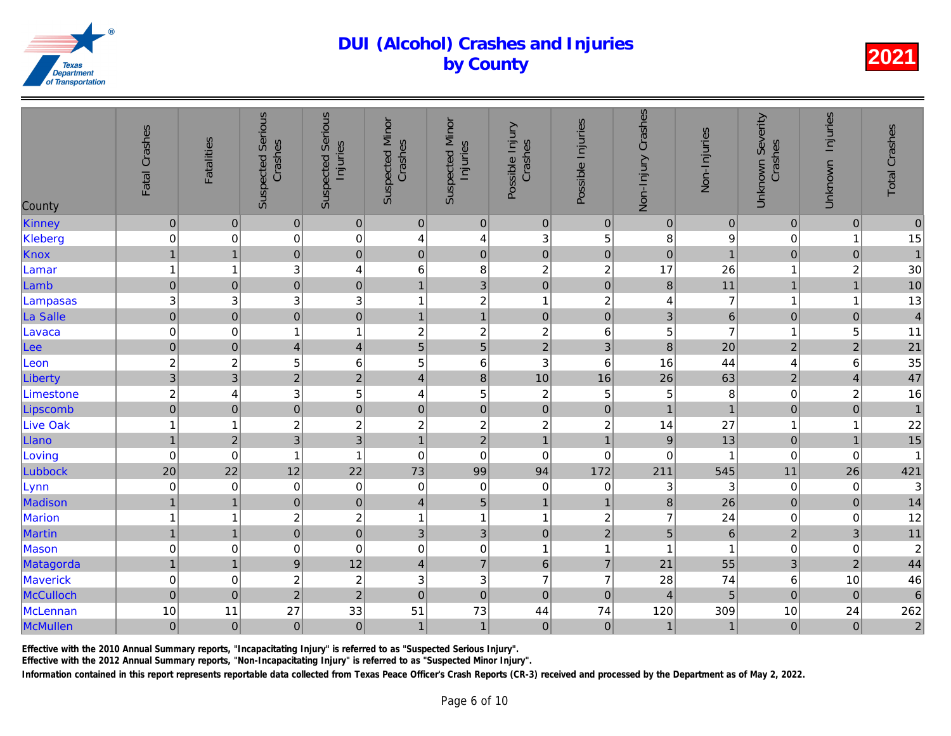| County          | Fatal Crashes    | Fatalities          | <b>Suspected Serious</b><br>Crashes | <b>Suspected Serious</b><br>Injuries | <b>Suspected Minor</b><br>Crashes | <b>Suspected Minor</b><br>Injuries | Possible Injury<br>Crashes | Possible Injuries | Non-Injury Crashes | Non-Injuries     |
|-----------------|------------------|---------------------|-------------------------------------|--------------------------------------|-----------------------------------|------------------------------------|----------------------------|-------------------|--------------------|------------------|
| Kinney          | $\pmb{0}$        | $\pmb{0}$           | $\overline{0}$                      | $\pmb{0}$                            | $\pmb{0}$                         | $\vert 0 \vert$                    | $\pmb{0}$                  | $\mathbf 0$       | $\mathbf 0$        | $\overline{0}$   |
| Kleberg         | $\pmb{0}$        | 0                   | $\mathbf 0$                         | $\boldsymbol{0}$                     | 4                                 | $\overline{\mathbf{4}}$            | 3                          | 5                 | 8                  | 9                |
| Knox            | $\overline{1}$   | $\overline{1}$      | $\overline{0}$                      | $\mathbf 0$                          | $\pmb{0}$                         | $\overline{0}$                     | $\pmb{0}$                  | $\mathbf 0$       | $\overline{0}$     | $\overline{1}$   |
| Lamar           | $\mathbf{1}$     | 1                   | 3                                   | $\overline{\mathbf{4}}$              | 6                                 | 8                                  | $\overline{c}$             | $\overline{c}$    | 17                 | 26               |
| Lamb            | $\pmb{0}$        | $\pmb{0}$           | $\overline{0}$                      | $\overline{0}$                       | $\overline{1}$                    | $\overline{3}$                     | $\mathbf 0$                | $\pmb{0}$         | $\bf 8$            | $11$             |
| Lampasas        | $\mathbf{3}$     | 3                   | $\ensuremath{\mathsf{3}}$           | 3                                    | 1                                 | $\overline{c}$                     | $\mathbf{1}$               | $\boldsymbol{2}$  | 4                  | $\overline{7}$   |
| La Salle        | $\mathbf 0$      | $\pmb{0}$           | $\overline{0}$                      | $\overline{0}$                       | $\overline{1}$                    | $\overline{1}$                     | $\mathbf 0$                | $\pmb{0}$         | 3                  | $\overline{6}$   |
| Lavaca          | $\pmb{0}$        | 0                   | $\mathbf{1}$                        | $\overline{1}$                       | $\overline{c}$                    | $\boldsymbol{2}$                   | $\overline{\mathbf{c}}$    | 6                 | 5                  | $\overline{7}$   |
| Lee             | $\mathbf 0$      | $\mathsf{O}\xspace$ | $\vert 4 \vert$                     | $\overline{\mathbf{4}}$              | 5                                 | $\overline{5}$                     | $\overline{2}$             | 3                 | $\bf{8}$           | 20               |
| Leon            | $\overline{c}$   | $\overline{c}$      | 5                                   | $\,$ 6 $\,$                          | 5                                 | $\,6$                              | 3                          | $\,6\,$           | 16                 | 44               |
| Liberty         | $\overline{3}$   | 3                   | $\overline{2}$                      | $\overline{2}$                       | $\overline{4}$                    | $\overline{8}$                     | 10                         | 16                | 26                 | 63               |
| Limestone       | $\overline{c}$   | 4                   | 3                                   | 5                                    | 4                                 | $\sqrt{5}$                         | $\overline{c}$             | 5                 | 5                  | $\boldsymbol{8}$ |
| Lipscomb        | $\overline{0}$   | $\mathbf 0$         | $\overline{0}$                      | $\mathbf 0$                          | $\pmb{0}$                         | $\overline{0}$                     | $\overline{0}$             | $\pmb{0}$         | $\overline{1}$     | $\overline{1}$   |
| <b>Live Oak</b> | $\overline{1}$   | 1                   | $\overline{c}$                      | $\overline{c}$                       | $\overline{c}$                    | $\overline{c}$                     | $\overline{c}$             | $\overline{c}$    | 14                 | 27               |
| Llano           | $\mathbf{1}$     | $\overline{2}$      | $\overline{3}$                      | $\overline{3}$                       | $\mathbf{1}$                      | $\overline{c}$                     | $\overline{1}$             | $\overline{1}$    | $\boldsymbol{9}$   | 13               |
| Loving          | $\boldsymbol{0}$ | $\mathbf 0$         | $\mathbf{1}$                        | $\overline{1}$                       | $\pmb{0}$                         | $\pmb{0}$                          | $\mathbf 0$                | $\mathbf 0$       | $\mathbf 0$        |                  |
| Lubbock         | 20               | 22                  | 12                                  | 22                                   | 73                                | 99                                 | 94                         | 172               | 211                | 545              |
| Lynn            | $\pmb{0}$        | 0                   | $\boldsymbol{0}$                    | $\pmb{0}$                            | 0                                 | $\pmb{0}$                          | $\mathbf 0$                | 0                 | 3                  | 3                |
| Madison         | $\overline{1}$   | $\overline{1}$      | $\overline{0}$                      | $\pmb{0}$                            | $\overline{\mathbf{4}}$           | $\overline{5}$                     | $\mathbf{1}$               | $\overline{1}$    | $\bf 8$            | 26               |
| <b>Marion</b>   | $\overline{1}$   | 1                   | $\overline{c}$                      | $\overline{c}$                       | 1                                 | $\mathbf{1}$                       | $\mathbf{1}$               | $\boldsymbol{2}$  | $\overline{7}$     | 24               |
| <b>Martin</b>   | $\mathbf{1}$     | $\overline{1}$      | $\overline{0}$                      | $\overline{0}$                       | $\ensuremath{\mathsf{3}}$         | $\overline{3}$                     | $\mathbf 0$                | $2^{1}$           | 5                  | $6\overline{6}$  |
| Mason           | $\pmb{0}$        | 0                   | 0                                   | $\mathbf 0$                          | $\pmb{0}$                         | $\mathbf 0$                        | $\mathbf{1}$               | $\overline{1}$    | 1                  | $\mathbf{1}$     |
| Matagorda       | $\overline{1}$   | $\mathbf{1}$        | $\vert 9 \vert$                     | 12                                   | $\overline{4}$                    | $\overline{7}$                     | $\,6\,$                    | $\overline{7}$    | 21                 | 55               |
| Maverick        | $\pmb{0}$        | 0                   | $\overline{c}$                      | $\overline{c}$                       | 3                                 | $\mathbf{3}$                       | $\overline{7}$             | $\overline{7}$    | 28                 | 74               |
| McCulloch       | $\mathbf 0$      | $\mathbf 0$         | $\overline{2}$                      | $\overline{2}$                       | $\mathbf 0$                       | $\overline{0}$                     | $\mathbf 0$                | $\pmb{0}$         | $\overline{4}$     | 5                |
| <b>McLennan</b> | 10               | 11                  | 27                                  | 33                                   | 51                                | 73                                 | 44                         | 74                | 120                | 309              |
| McMullen        | $\pmb{0}$        | $\pmb{0}$           | $\overline{0}$                      | $\mathbf 0$                          | $\mathbf{1}$                      | 1                                  | $\pmb{0}$                  | $\pmb{0}$         | $\overline{1}$     | $\overline{1}$   |

Effective with the 2010 Annual Summary reports, "Incapacitating Injury" is referred to as "Suspected Serious Injury".

Effective with the 2012 Annual Summary reports, "Non-Incapacitating Injury" is referred to as "Suspected Minor Injury".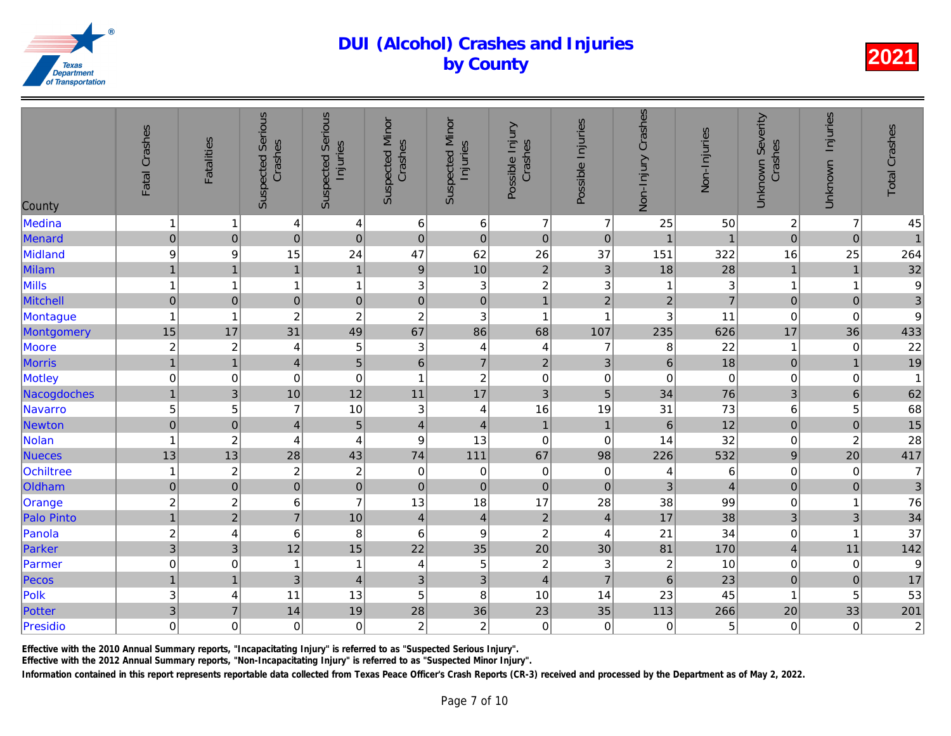| County            | Fatal Crashes             | <b>Fatalities</b>       | <b>Suspected Serious</b><br>Crashes | <b>Suspected Serious</b><br>Injuries | <b>Suspected Minor</b><br>Crashes | <b>Suspected Minor</b><br>Injuries | Possible Injury<br>Crashes | Possible Injuries         | Non-Injury Crashes | Non-Injuries    |
|-------------------|---------------------------|-------------------------|-------------------------------------|--------------------------------------|-----------------------------------|------------------------------------|----------------------------|---------------------------|--------------------|-----------------|
| Medina            | $\mathbf{1}$              | -1                      | 4                                   | $\overline{4}$                       | 6                                 | $\,6$                              | $\overline{7}$             | $\overline{7}$            | 25                 | 50              |
| Menard            | $\pmb{0}$                 | $\pmb{0}$               | $\overline{0}$                      | $\overline{0}$                       | $\mathbf 0$                       | $\mathsf{O}\xspace$                | $\mathbf 0$                | $\mathbf 0$               | $\overline{1}$     | $\overline{1}$  |
| Midland           | $\boldsymbol{9}$          | 9                       | 15                                  | 24                                   | 47                                | 62                                 | 26                         | 37                        | 151                | 322             |
| Milam             | $\overline{1}$            | $\overline{1}$          | $\mathbf{1}$                        | $\overline{1}$                       | $\mathsf g$                       | 10                                 | $\overline{2}$             | $\mathbf{3}$              | 18                 | 28              |
| Mills             | $\mathbf{1}$              | $\overline{1}$          | 1                                   | $\mathbf{1}$                         | $\ensuremath{\mathsf{3}}$         | $\ensuremath{\mathsf{3}}$          | $\overline{c}$             | $\ensuremath{\mathsf{3}}$ |                    | $\overline{3}$  |
| <b>Mitchell</b>   | $\mathbf 0$               | $\mathbf 0$             | $\pmb{0}$                           | $\mathbf 0$                          | $\mathbf 0$                       | $\mathsf{O}\xspace$                | $\overline{1}$             | $\overline{2}$            | $\overline{2}$     | $\overline{7}$  |
| Montague          | $\mathbf{1}$              | $\overline{1}$          | $\boldsymbol{2}$                    | $\overline{c}$                       | $\boldsymbol{2}$                  | $\ensuremath{\mathsf{3}}$          | $\mathbf{1}$               | $\overline{\mathbf{1}}$   | 3                  | 11              |
| Montgomery        | 15                        | 17                      | 31                                  | 49                                   | 67                                | 86                                 | 68                         | 107                       | 235                | 626             |
| Moore             | $\overline{\mathbf{c}}$   | $\boldsymbol{2}$        | 4                                   | 5                                    | 3                                 | 4                                  | 4                          | 7                         | 8                  | 22              |
| <b>Morris</b>     | $\overline{1}$            | $\overline{1}$          | $\overline{4}$                      | 5                                    | $6\phantom{1}$                    | $\overline{7}$                     | $\overline{2}$             | 3                         | $6\phantom{a}$     | 18              |
| Motley            | $\mathbf 0$               | $\mathbf 0$             | $\mathbf 0$                         | $\mathbf 0$                          | $\overline{1}$                    | $\boldsymbol{2}$                   | $\mathbf 0$                | 0                         | $\mathbf 0$        | $\overline{0}$  |
| Nacogdoches       | $\mathbf{1}$              | 3                       | 10                                  | 12                                   | 11                                | 17                                 | 3                          | 5                         | 34                 | 76              |
| Navarro           | 5                         | 5                       | $\overline{7}$                      | $10$                                 | 3                                 | $\overline{\mathbf{r}}$            | 16                         | 19                        | 31                 | 73              |
| Newton            | $\overline{0}$            | $\pmb{0}$               | $\overline{4}$                      | $\overline{5}$                       | $\overline{4}$                    | $\overline{4}$                     | $\mathbf{1}$               | $\mathbf{1}$              | $\,6$              | 12              |
| Nolan             | $\mathbf{1}$              | $\boldsymbol{2}$        | 4                                   | $\overline{4}$                       | $\boldsymbol{9}$                  | 13                                 | $\boldsymbol{0}$           | $\mathsf 0$               | 14                 | 32              |
| <b>Nueces</b>     | 13                        | 13                      | 28                                  | 43                                   | 74                                | 111                                | 67                         | 98                        | 226                | 532             |
| Ochiltree         | $\mathbf{1}$              | $\boldsymbol{2}$        | $\overline{c}$                      | $\overline{c}$                       | $\mathbf 0$                       | $\pmb{0}$                          | $\boldsymbol{0}$           | $\boldsymbol{0}$          | 4                  | 6               |
| Oldham            | $\mathbf 0$               | $\pmb{0}$               | $\mathbf 0$                         | $\pmb{0}$                            | $\pmb{0}$                         | $\pmb{0}$                          | $\mathbf 0$                | $\mathbf{0}$              | 3                  | $\overline{4}$  |
| Orange            | $\overline{\mathbf{c}}$   | $\overline{\mathbf{c}}$ | 6                                   | $\overline{7}$                       | 13                                | 18                                 | 17                         | 28                        | 38                 | 99              |
| <b>Palo Pinto</b> | $\overline{1}$            | $\overline{2}$          | $\overline{7}$                      | 10                                   | $\overline{\mathbf{4}}$           | $\overline{4}$                     | $\mathbf 2$                | $\overline{4}$            | 17                 | 38              |
| Panola            | $\overline{\mathbf{c}}$   | 4                       | $\,6$                               | 8                                    | 6                                 | $\boldsymbol{9}$                   | $\overline{c}$             | 4                         | 21                 | 34              |
| Parker            | $\overline{3}$            | 3                       | 12                                  | 15                                   | 22                                | 35                                 | 20                         | 30                        | 81                 | 170             |
| Parmer            | $\pmb{0}$                 | 0                       | $\mathbf{1}$                        | $\mathbf{1}$                         | 4                                 | $\mathbf 5$                        | $\boldsymbol{2}$           | $\sqrt{3}$                | $\overline{c}$     | 10              |
| Pecos             | $\mathbf{1}$              | $\overline{1}$          | 3                                   | $\overline{4}$                       | 3                                 | 3                                  | $\overline{\mathbf{4}}$    | $\overline{7}$            | 6                  | 23              |
| Polk              | $\ensuremath{\mathsf{3}}$ | 4                       | 11                                  | 13                                   | 5                                 | 8                                  | 10                         | 14                        | 23                 | 45              |
| Potter            | 3                         | $\overline{7}$          | 14                                  | 19                                   | 28                                | 36                                 | 23                         | 35                        | 113                | 266             |
| Presidio          | $\mathbf 0$               | $\mathbf 0$             | $\mathbf 0$                         | 0                                    | $\overline{c}$                    | $\boldsymbol{2}$                   | $\mathbf 0$                | $\mathbf 0$               | $\mathbf 0$        | $5\overline{a}$ |
|                   |                           |                         |                                     |                                      |                                   |                                    |                            |                           |                    |                 |

Effective with the 2010 Annual Summary reports, "Incapacitating Injury" is referred to as "Suspected Serious Injury".

Effective with the 2012 Annual Summary reports, "Non-Incapacitating Injury" is referred to as "Suspected Minor Injury".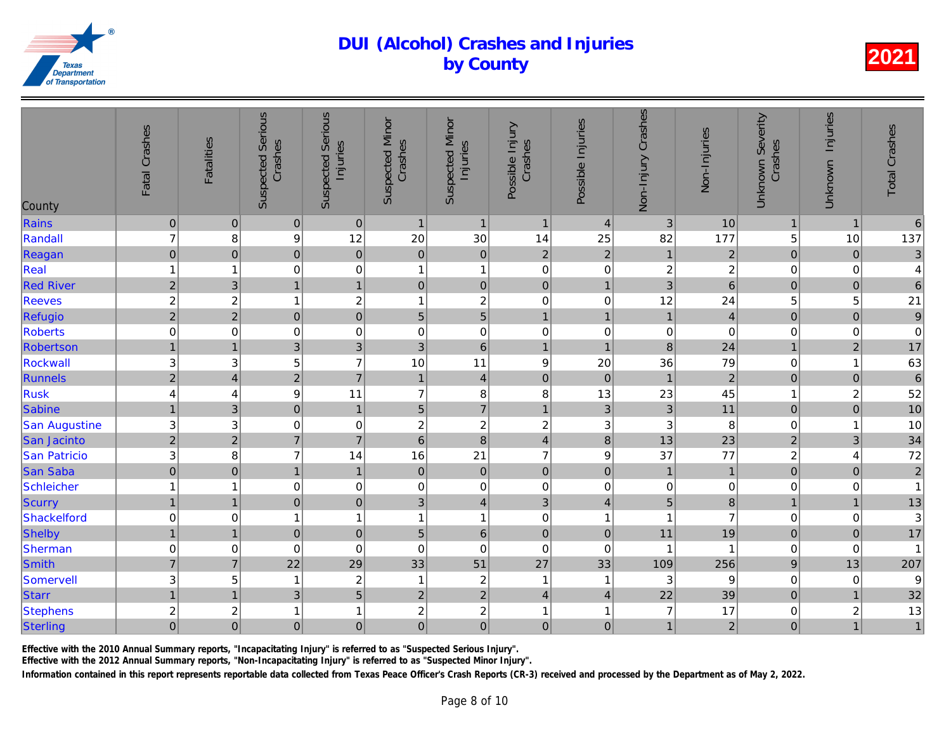| County               | Fatal Crashes             | <b>Fatalities</b> | <b>Suspected Serious</b><br>Crashes | <b>Suspected Serious</b><br>Injuries | <b>Suspected Minor</b><br>Crashes | <b>Suspected Minor</b><br>Injuries | Possible Injury<br>Crashes | Possible Injuries       | Non-Injury Crashes | Non-Injuries   |
|----------------------|---------------------------|-------------------|-------------------------------------|--------------------------------------|-----------------------------------|------------------------------------|----------------------------|-------------------------|--------------------|----------------|
| Rains                | $\pmb{0}$                 | $\pmb{0}$         | $\mathbf 0$                         | $\mathbf 0$                          | $\mathbf{1}$                      | $\mathbf{1}$                       | $\mathbf{1}$               | $\overline{4}$          | 3                  | 10             |
| Randall              | $\overline{7}$            | 8                 | $\boldsymbol{9}$                    | 12                                   | 20                                | 30                                 | 14                         | 25                      | 82                 | 177            |
| Reagan               | $\overline{0}$            | $\pmb{0}$         | $\overline{0}$                      | $\mathbf 0$                          | $\pmb{0}$                         | $\mathbf 0$                        | $\overline{2}$             | $\overline{2}$          | $\mathbf{1}$       | $\overline{c}$ |
| Real                 | $\mathbf{1}$              | $\mathbf 1$       | 0                                   | 0                                    | $\mathbf{1}$                      | $\mathbf{1}$                       | $\pmb{0}$                  | 0                       | $\overline{c}$     | $\overline{a}$ |
| <b>Red River</b>     | $\overline{2}$            | $\mathbf{3}$      | $\overline{1}$                      | $\overline{1}$                       | $\mathbf 0$                       | $\mathsf{O}\xspace$                | $\pmb{0}$                  | $\overline{1}$          | $\overline{3}$     | $\overline{6}$ |
| <b>Reeves</b>        | $\overline{\mathbf{c}}$   | $\overline{c}$    | 1                                   | $\overline{c}$                       | 1                                 | $\boldsymbol{2}$                   | $\pmb{0}$                  | $\pmb{0}$               | 12                 | 24             |
| Refugio              | $\overline{a}$            | $\overline{c}$    | $\mathbf 0$                         | $\overline{0}$                       | $\overline{5}$                    | $\overline{5}$                     | $\mathbf{1}$               | $\overline{1}$          | $\mathbf{1}$       | $\overline{4}$ |
| Roberts              | $\mathbf 0$               | $\mathbf 0$       | $\pmb{0}$                           | $\mathbf 0$                          | 0                                 | $\boldsymbol{0}$                   | $\pmb{0}$                  | $\,0\,$                 | $\pmb{0}$          | $\overline{O}$ |
| Robertson            | $\mathbf{1}$              | $\mathbf{1}$      | 3                                   | $\overline{3}$                       | 3                                 | $6\overline{6}$                    | $\mathbf{1}$               | $\overline{1}$          | 8                  | 24             |
| Rockwall             | $\ensuremath{\mathsf{3}}$ | 3                 | 5                                   | $\overline{7}$                       | 10                                | 11                                 | $\boldsymbol{9}$           | 20                      | 36                 | 79             |
| Runnels              | $\overline{2}$            | $\overline{4}$    | $\overline{2}$                      | $\overline{7}$                       | $\mathbf{1}$                      | $\overline{4}$                     | $\mathbf 0$                | $\pmb{0}$               | $\mathbf{1}$       | $\overline{a}$ |
| <b>Rusk</b>          | $\overline{4}$            | 4                 | $\boldsymbol{9}$                    | 11                                   | $\overline{7}$                    | 8                                  | $\bf 8$                    | 13                      | 23                 | 45             |
| Sabine               | $\mathbf{1}$              | $\mathfrak{B}$    | $\pmb{0}$                           | $\mathbf{1}$                         | 5                                 | $\overline{7}$                     | $\mathbf{1}$               | $\mathbf{3}$            | 3                  | 11             |
| <b>San Augustine</b> | $\ensuremath{\mathsf{3}}$ | 3                 | 0                                   | $\mathbf 0$                          | 2                                 | $\sqrt{2}$                         | $\boldsymbol{2}$           | 3                       | 3                  | 8              |
| San Jacinto          | $\overline{2}$            | $\overline{2}$    | $\overline{7}$                      | $\overline{7}$                       | $\,$ 6 $\,$                       | $\overline{8}$                     | $\overline{\mathbf{4}}$    | $\bf8$                  | 13                 | 23             |
| San Patricio         | $\mathsf 3$               | 8                 | $\overline{7}$                      | 14                                   | 16                                | 21                                 | $\overline{7}$             | 9                       | 37                 | 77             |
| <b>San Saba</b>      | $\overline{0}$            | $\pmb{0}$         | $\mathbf{1}$                        | $\mathbf{1}$                         | $\pmb{0}$                         | $\pmb{0}$                          | $\mathbf 0$                | $\pmb{0}$               | $\mathbf{1}$       | $\mathbf{1}$   |
| Schleicher           | $\mathbf{1}$              | 1                 | $\mathbf 0$                         | $\mathbf 0$                          | 0                                 | $\pmb{0}$                          | $\pmb{0}$                  | 0                       | 0                  | $\overline{0}$ |
| <b>Scurry</b>        | $\mathbf{1}$              | $\mathbf{1}$      | $\overline{0}$                      | $\mathbf 0$                          | 3                                 | $\overline{4}$                     | 3                          | $\overline{4}$          | 5                  | $\bf{8}$       |
| Shackelford          | $\mathbf 0$               | $\mathbf 0$       | 1                                   | $\mathbf{1}$                         | 1                                 | $\mathbf{1}$                       | $\pmb{0}$                  | $\overline{\mathbf{1}}$ | 1                  | $\overline{7}$ |
| Shelby               | $\mathbf{1}$              | $\overline{1}$    | $\overline{0}$                      | $\mathbf 0$                          | 5                                 | $6\phantom{a}$                     | $\pmb{0}$                  | $\mathbf 0$             | 11                 | 19             |
| Sherman              | $\boldsymbol{0}$          | 0                 | $\mathbf 0$                         | $\mathbf 0$                          | 0                                 | $\mathbf 0$                        | $\mathbf 0$                | $\mathbf 0$             |                    | 1              |
| Smith                | $\overline{7}$            | $\overline{7}$    | 22                                  | 29                                   | 33                                | 51                                 | 27                         | 33                      | 109                | 256            |
| Somervell            | $\ensuremath{\mathsf{3}}$ | 5                 | 1                                   | $\overline{c}$                       | $\overline{\mathbf{1}}$           | $\boldsymbol{2}$                   | $\mathbf{1}$               | -1                      | $\sqrt{3}$         | 9              |
| <b>Starr</b>         | $\mathbf{1}$              | $\overline{1}$    | $\mathfrak{B}$                      | 5                                    | $\mathbf 2$                       | $\overline{2}$                     | $\overline{4}$             | $\overline{4}$          | 22                 | 39             |
| <b>Stephens</b>      | $\overline{\mathbf{c}}$   | $\boldsymbol{2}$  | 1                                   | $\mathbf{1}$                         | 2                                 | $\boldsymbol{2}$                   | $\mathbf{1}$               | $\overline{1}$          | $\overline{7}$     | 17             |
| Sterling             | $\overline{0}$            | $\mathbf 0$       | $\mathsf 0$                         | $\overline{0}$                       | $\overline{0}$                    | $\mathbf 0$                        | $\mathbf 0$                | $\mathbf 0$             | $\mathbf{1}$       | $\overline{a}$ |
|                      |                           |                   |                                     |                                      |                                   |                                    |                            |                         |                    |                |

Effective with the 2010 Annual Summary reports, "Incapacitating Injury" is referred to as "Suspected Serious Injury".

Effective with the 2012 Annual Summary reports, "Non-Incapacitating Injury" is referred to as "Suspected Minor Injury".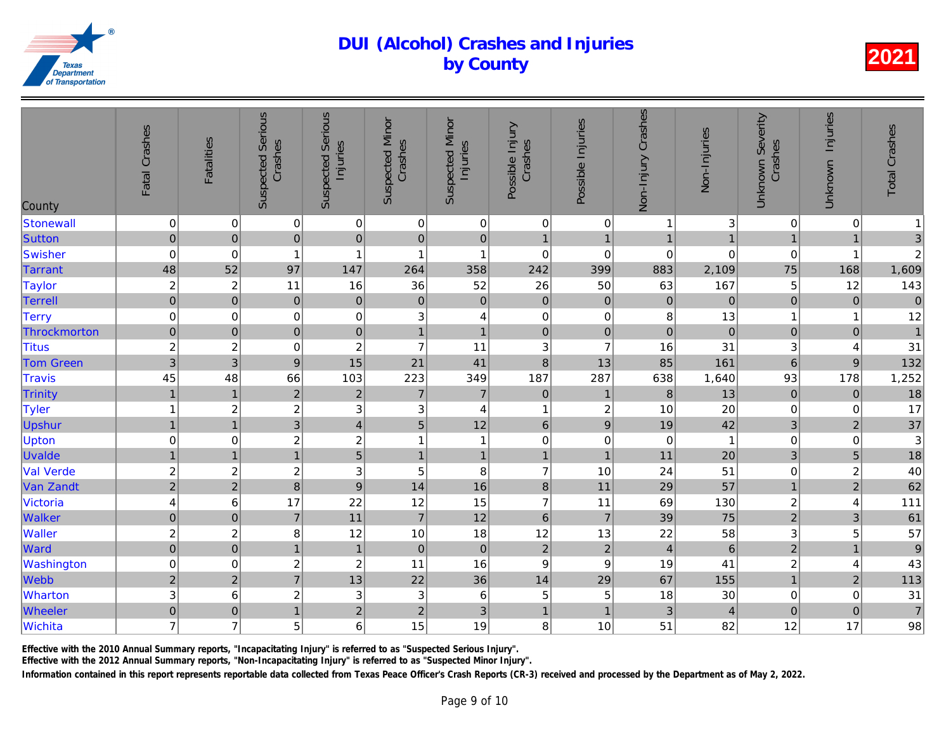| County           | Fatal Crashes           | <b>Fatalities</b> | <b>Suspected Serious</b><br>Crashes | Serious<br>Injuries<br>Suspected | <b>Suspected Minor</b><br>Crashes | <b>Suspected Minor</b><br>Injuries | Possible Injury<br>Crashes | Possible Injuries | Non-Injury Crashes | Non-Injuries   |
|------------------|-------------------------|-------------------|-------------------------------------|----------------------------------|-----------------------------------|------------------------------------|----------------------------|-------------------|--------------------|----------------|
| Stonewall        | $\mathbf 0$             | $\mathbf 0$       | $\pmb{0}$                           | $\mathbf 0$                      | $\pmb{0}$                         | $\pmb{0}$                          | $\mathbf 0$                | 0                 | 1                  | $\overline{3}$ |
| Sutton           | $\mathbf 0$             | $\pmb{0}$         | $\overline{0}$                      | $\mathbf 0$                      | $\mathbf 0$                       | $\mathbf 0$                        | $\overline{1}$             | $\overline{1}$    | $\mathbf{1}$       | $\overline{1}$ |
| Swisher          | $\mbox{O}$              | $\pmb{0}$         | $\mathbf 1$                         | $\overline{1}$                   | $\overline{1}$                    | 1                                  | $\mathbf 0$                | $\pmb{0}$         | $\mathbf 0$        | $\overline{0}$ |
| Tarrant          | 48                      | 52                | 97                                  | 147                              | 264                               | 358                                | 242                        | 399               | 883                | 2,109          |
| <b>Taylor</b>    | $\boldsymbol{2}$        | $\overline{c}$    | 11                                  | 16                               | 36                                | 52                                 | 26                         | 50                | 63                 | 167            |
| <b>Terrell</b>   | $\overline{0}$          | $\pmb{0}$         | $\mathbf 0$                         | $\pmb{0}$                        | $\pmb{0}$                         | $\pmb{0}$                          | $\pmb{0}$                  | $\pmb{0}$         | $\mathbf 0$        | $\overline{O}$ |
| <b>Terry</b>     | $\mbox{O}$              | 0                 | $\mathbf 0$                         | $\mathbf 0$                      | 3                                 | 4                                  | $\mathbf 0$                | 0                 | 8                  | 13             |
| Throckmorton     | $\mathbf 0$             | $\pmb{0}$         | $\overline{0}$                      | $\mathbf 0$                      | $\mathbf{1}$                      | $\overline{1}$                     | $\mathbf 0$                | $\pmb{0}$         | $\pmb{0}$          | $\overline{O}$ |
| <b>Titus</b>     | $\boldsymbol{2}$        | $\overline{c}$    | $\pmb{0}$                           | $\boldsymbol{2}$                 | $\overline{7}$                    | 11                                 | $\ensuremath{\mathsf{3}}$  | $\overline{7}$    | 16                 | 31             |
| <b>Tom Green</b> | $\overline{3}$          | $\mathbf{3}$      | $\boldsymbol{9}$                    | 15                               | 21                                | 41                                 | $\bf{8}$                   | 13                | 85                 | 161            |
| Travis           | 45                      | 48                | 66                                  | 103                              | 223                               | 349                                | 187                        | 287               | 638                | 1,640          |
| Trinity          | $\overline{1}$          | $\overline{1}$    | $\overline{2}$                      | $\overline{c}$                   | $\overline{7}$                    | $\overline{7}$                     | $\pmb{0}$                  | $\mathbf{1}$      | $\boldsymbol{8}$   | 13             |
| Tyler            | $\mathbf{1}$            | $\sqrt{2}$        | $\sqrt{2}$                          | $\ensuremath{\mathsf{3}}$        | $\ensuremath{\mathsf{3}}$         | 4                                  | 1                          | $\boldsymbol{2}$  | 10                 | 20             |
| Upshur           | $\overline{1}$          | $\overline{1}$    | $\overline{3}$                      | $\overline{\mathbf{4}}$          | 5                                 | 12                                 | $6\phantom{1}$             | $\boldsymbol{9}$  | 19                 | 42             |
| <b>Upton</b>     | $\mathbf 0$             | $\mathbf 0$       | $\sqrt{2}$                          | $\overline{c}$                   | $\overline{1}$                    | $\mathbf{1}$                       | $\mathbf 0$                | $\pmb{0}$         | $\mathbf 0$        | $\mathbf{1}$   |
| <b>Uvalde</b>    | $\mathbf{1}$            | $\mathbf{1}$      | 1                                   | $\overline{5}$                   | $\mathbf{1}$                      | $\overline{1}$                     | $\mathbf{1}$               | $\overline{1}$    | 11                 | 20             |
| <b>Val Verde</b> | $\boldsymbol{2}$        | $\overline{c}$    | $\overline{c}$                      | $\mathbf{3}$                     | 5                                 | 8                                  | $\overline{7}$             | 10                | 24                 | 51             |
| Van Zandt        | $\overline{2}$          | $\mathbf 2$       | $\lvert 8 \rvert$                   | $\overline{9}$                   | 14                                | 16                                 | $\bf8$                     | 11                | 29                 | 57             |
| Victoria         | $\overline{\mathbf{4}}$ | 6                 | 17                                  | 22                               | 12                                | 15                                 | $\overline{7}$             | 11                | 69                 | 130            |
| Walker           | $\mathbf 0$             | $\mathbf 0$       | $\overline{7}$                      | 11                               | $\overline{7}$                    | 12                                 | $6\phantom{1}$             | $\overline{7}$    | 39                 | 75             |
| <b>Waller</b>    | $\boldsymbol{2}$        | 2                 | 8                                   | 12                               | 10                                | 18                                 | 12                         | 13                | 22                 | 58             |
| Ward             | $\overline{0}$          | $\pmb{0}$         | $\mathbf{1}$                        | $\mathbf{1}$                     | $\pmb{0}$                         | $\pmb{0}$                          | $\overline{c}$             | $\overline{2}$    | $\overline{4}$     | $6\phantom{a}$ |
| Washington       | $\mathbf 0$             | 0                 | $\mathbf{2}$                        | $\boldsymbol{2}$                 | 11                                | 16                                 | $\mathsf g$                | $\boldsymbol{9}$  | 19                 | 41             |
| Webb             | $\overline{2}$          | $\overline{2}$    | $\overline{7}$                      | 13                               | 22                                | 36                                 | 14                         | 29                | 67                 | 155            |
| Wharton          | 3                       | 6                 | $\sqrt{2}$                          | 3                                | $\sqrt{3}$                        | $\,6$                              | 5                          | 5                 | 18                 | 30             |
| Wheeler          | $\overline{0}$          | $\pmb{0}$         | $\mathbf{1}$                        | $\overline{2}$                   | $\mathbf 2$                       | $\ensuremath{\mathsf{3}}$          | $\mathbf{1}$               | 1                 | 3                  | $\overline{4}$ |
| Wichita          | $\overline{7}$          | $\overline{7}$    | 5                                   | 6                                | 15                                | 19                                 | 8                          | 10                | 51                 | 82             |

Effective with the 2010 Annual Summary reports, "Incapacitating Injury" is referred to as "Suspected Serious Injury".

Effective with the 2012 Annual Summary reports, "Non-Incapacitating Injury" is referred to as "Suspected Minor Injury".